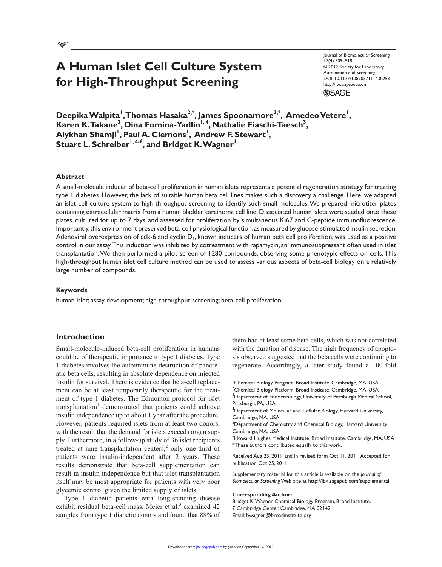# **A Human Islet Cell Culture System for High-Throughput Screening**

Journal of Biomolecular Screening 17(4) 509–518 © 2012 Society for Laboratory Automation and Screening DOI: 10.1177/1087057111430253 http://jbx.sagepub.com **SSAGE** 

Deepika Walpita<sup>'</sup>,Thomas Hasaka<sup>2,\*</sup>, James Spoonamore<sup>2,\*</sup>, Amedeo Vetere<sup>'</sup>, Karen K. Takane<sup>3</sup>, Dina Fomina-Yadlin<sup>1,4</sup>, Nathalie Fiaschi-Taesch<sup>3</sup>, Alykhan Shamji<sup>I</sup>, Paul A. Clemons<sup>I</sup>, Andrew F. Stewart<sup>3</sup>, Stuart L. Schreiber<sup>1, 4-6</sup>, and Bridget K. Wagner<sup>1</sup>

## **Abstract**

A small-molecule inducer of beta-cell proliferation in human islets represents a potential regeneration strategy for treating type 1 diabetes. However, the lack of suitable human beta cell lines makes such a discovery a challenge. Here, we adapted an islet cell culture system to high-throughput screening to identify such small molecules. We prepared microtiter plates containing extracellular matrix from a human bladder carcinoma cell line. Dissociated human islets were seeded onto these plates, cultured for up to 7 days, and assessed for proliferation by simultaneous Ki67 and C-peptide immunofluorescence. Importantly, this environment preserved beta-cell physiological function, as measured by glucose-stimulated insulin secretion. Adenoviral overexpression of cdk-6 and cyclin  $D_1$ , known inducers of human beta cell proliferation, was used as a positive control in our assay. This induction was inhibited by cotreatment with rapamycin, an immunosuppressant often used in islet transplantation. We then performed a pilot screen of 1280 compounds, observing some phenotypic effects on cells. This high-throughput human islet cell culture method can be used to assess various aspects of beta-cell biology on a relatively large number of compounds.

#### **Keywords**

human islet; assay development; high-throughput screening; beta-cell proliferation

## **Introduction**

Small-molecule-induced beta-cell proliferation in humans could be of therapeutic importance to type 1 diabetes. Type 1 diabetes involves the autoimmune destruction of pancreatic beta cells, resulting in absolute dependence on injected insulin for survival. There is evidence that beta-cell replacement can be at least temporarily therapeutic for the treatment of type 1 diabetes. The Edmonton protocol for islet transplantation<sup>1</sup> demonstrated that patients could achieve insulin independence up to about 1 year after the procedure. However, patients required islets from at least two donors, with the result that the demand for islets exceeds organ supply. Furthermore, in a follow-up study of 36 islet recipients treated at nine transplantation centers, $2$  only one-third of patients were insulin-independent after 2 years. These results demonstrate that beta-cell supplementation can result in insulin independence but that islet transplantation itself may be most appropriate for patients with very poor glycemic control given the limited supply of islets.

Type 1 diabetic patients with long-standing disease exhibit residual beta-cell mass. Meier et al.<sup>3</sup> examined 42 samples from type 1 diabetic donors and found that 88% of

them had at least some beta cells, which was not correlated with the duration of disease. The high frequency of apoptosis observed suggested that the beta cells were continuing to regenerate. Accordingly, a later study found a 100-fold

<sup>1</sup> Chemical Biology Program, Broad Institute, Cambridge, MA, USA  $^{\rm 2}$ Chemical Biology Platform, Broad Institute, Cambridge, MA, USA <sup>3</sup>Department of Endocrinology, University of Pittsburgh Medical School, Pittsburgh, PA, USA

4 Department of Molecular and Cellular Biology, Harvard University, Cambridge, MA, USA

 $^5$ Department of Chemistry and Chemical Biology, Harvard University, Cambridge, MA, USA

<sup>6</sup>Howard Hughes Medical Institute, Broad Institute, Cambridge, MA, USA \*These authors contributed equally to this work.

Received Aug 23, 2011, and in revised form Oct 11, 2011. Accepted for publication Oct 25, 2011.

Supplementary material for this article is available on the *Journal of Biomolecular Screening* Web site at http://jbx.sagepub.com/supplemental.

#### **Corresponding Author:**

Bridget K. Wagner, Chemical Biology Program, Broad Institute, 7 Cambridge Center, Cambridge, MA 02142 Email: bwagner@broadinstitute.org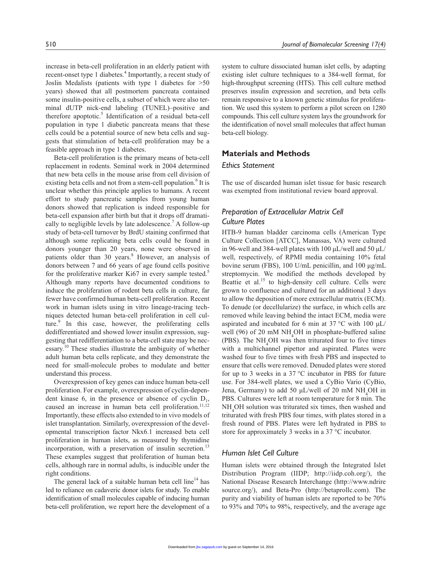increase in beta-cell proliferation in an elderly patient with recent-onset type 1 diabetes.<sup>4</sup> Importantly, a recent study of Joslin Medalists (patients with type 1 diabetes for >50 years) showed that all postmortem pancreata contained some insulin-positive cells, a subset of which were also terminal dUTP nick-end labeling (TUNEL)–positive and therefore apoptotic.<sup>5</sup> Identification of a residual beta-cell population in type 1 diabetic pancreata means that these cells could be a potential source of new beta cells and suggests that stimulation of beta-cell proliferation may be a feasible approach in type 1 diabetes.

Beta-cell proliferation is the primary means of beta-cell replacement in rodents. Seminal work in 2004 determined that new beta cells in the mouse arise from cell division of existing beta cells and not from a stem-cell population.<sup>6</sup> It is unclear whether this principle applies to humans. A recent effort to study pancreatic samples from young human donors showed that replication is indeed responsible for beta-cell expansion after birth but that it drops off dramatically to negligible levels by late adolescence.<sup>7</sup> A follow-up study of beta-cell turnover by BrdU staining confirmed that although some replicating beta cells could be found in donors younger than 20 years, none were observed in patients older than 30 years.<sup>8</sup> However, an analysis of donors between 7 and 66 years of age found cells positive for the proliferative marker Ki67 in every sample tested.<sup>5</sup> Although many reports have documented conditions to induce the proliferation of rodent beta cells in culture, far fewer have confirmed human beta-cell proliferation. Recent work in human islets using in vitro lineage-tracing techniques detected human beta-cell proliferation in cell culture.<sup>9</sup> In this case, however, the proliferating cells dedifferentiated and showed lower insulin expression, suggesting that redifferentiation to a beta-cell state may be necessary.<sup>10</sup> These studies illustrate the ambiguity of whether adult human beta cells replicate, and they demonstrate the need for small-molecule probes to modulate and better understand this process.

Overexpression of key genes can induce human beta-cell proliferation. For example, overexpression of cyclin-dependent kinase 6, in the presence or absence of cyclin  $D_1$ , caused an increase in human beta cell proliferation.<sup>11,12</sup> Importantly, these effects also extended to in vivo models of islet transplantation. Similarly, overexpression of the developmental transcription factor Nkx6.1 increased beta cell proliferation in human islets, as measured by thymidine incorporation, with a preservation of insulin secretion.<sup>13</sup> These examples suggest that proliferation of human beta cells, although rare in normal adults, is inducible under the right conditions.

The general lack of a suitable human beta cell  $\lim^{14}$  has led to reliance on cadaveric donor islets for study. To enable identification of small molecules capable of inducing human beta-cell proliferation, we report here the development of a

system to culture dissociated human islet cells, by adapting existing islet culture techniques to a 384-well format, for high-throughput screening (HTS). This cell culture method preserves insulin expression and secretion, and beta cells remain responsive to a known genetic stimulus for proliferation. We used this system to perform a pilot screen on 1280 compounds. This cell culture system lays the groundwork for the identification of novel small molecules that affect human beta-cell biology.

## **Materials and Methods**

## *Ethics Statement*

The use of discarded human islet tissue for basic research was exempted from institutional review board approval.

# *Preparation of Extracellular Matrix Cell Culture Plates*

HTB-9 human bladder carcinoma cells (American Type Culture Collection [ATCC], Manassas, VA) were cultured in 96-well and 384-well plates with 100  $\mu$ L/well and 50  $\mu$ L/ well, respectively, of RPMI media containing 10% fetal bovine serum (FBS), 100 U/mL penicillin, and 100 µg/mL streptomycin. We modified the methods developed by Beattie et al.<sup>15</sup> to high-density cell culture. Cells were grown to confluence and cultured for an additional 3 days to allow the deposition of more extracellular matrix (ECM). To denude (or decellularize) the surface, in which cells are removed while leaving behind the intact ECM, media were aspirated and incubated for 6 min at 37 °C with 100  $\mu$ L/ well (96) of 20 mM NH<sub>4</sub>OH in phosphate-buffered saline (PBS). The NH<sub>4</sub>OH was then triturated four to five times with a multichannel pipettor and aspirated. Plates were washed four to five times with fresh PBS and inspected to ensure that cells were removed. Denuded plates were stored for up to 3 weeks in a 37 °C incubator in PBS for future use. For 384-well plates, we used a CyBio Vario (CyBio, Jena, Germany) to add 50  $\mu$ L/well of 20 mM NH<sub>4</sub>OH in PBS. Cultures were left at room temperature for 8 min. The NH<sub>4</sub>OH solution was triturated six times, then washed and triturated with fresh PBS four times, with plates stored in a fresh round of PBS. Plates were left hydrated in PBS to store for approximately 3 weeks in a 37 °C incubator.

# *Human Islet Cell Culture*

Human islets were obtained through the Integrated Islet Distribution Program (IIDP; http://iidp.coh.org/), the National Disease Research Interchange (http://www.ndrire source.org/), and Beta-Pro (http://betaprollc.com). The purity and viability of human islets are reported to be 70% to 93% and 70% to 98%, respectively, and the average age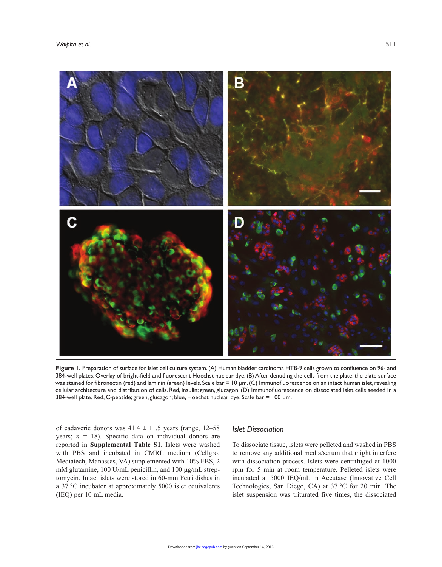

**Figure 1.** Preparation of surface for islet cell culture system. (A) Human bladder carcinoma HTB-9 cells grown to confluence on 96- and 384-well plates. Overlay of bright-field and fluorescent Hoechst nuclear dye. (B) After denuding the cells from the plate, the plate surface was stained for fibronectin (red) and laminin (green) levels. Scale bar = 10 µm. (C) Immunofluorescence on an intact human islet, revealing cellular architecture and distribution of cells. Red, insulin; green, glucagon. (D) Immunofluorescence on dissociated islet cells seeded in a 384-well plate. Red, C-peptide; green, glucagon; blue, Hoechst nuclear dye. Scale bar = 100 µm.

of cadaveric donors was  $41.4 \pm 11.5$  years (range, 12–58) years;  $n = 18$ ). Specific data on individual donors are reported in **Supplemental Table S1**. Islets were washed with PBS and incubated in CMRL medium (Cellgro; Mediatech, Manassas, VA) supplemented with 10% FBS, 2 mM glutamine, 100 U/mL penicillin, and 100 µg/mL streptomycin. Intact islets were stored in 60-mm Petri dishes in a 37 °C incubator at approximately 5000 islet equivalents (IEQ) per 10 mL media.

## *Islet Dissociation*

To dissociate tissue, islets were pelleted and washed in PBS to remove any additional media/serum that might interfere with dissociation process. Islets were centrifuged at 1000 rpm for 5 min at room temperature. Pelleted islets were incubated at 5000 IEQ/mL in Accutase (Innovative Cell Technologies, San Diego, CA) at 37 °C for 20 min. The islet suspension was triturated five times, the dissociated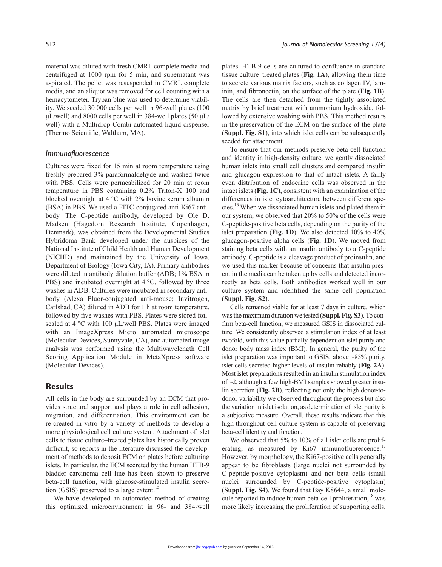material was diluted with fresh CMRL complete media and centrifuged at 1000 rpm for 5 min, and supernatant was aspirated. The pellet was resuspended in CMRL complete media, and an aliquot was removed for cell counting with a hemacytometer. Trypan blue was used to determine viability. We seeded 30 000 cells per well in 96-well plates (100  $\mu$ L/well) and 8000 cells per well in 384-well plates (50  $\mu$ L/ well) with a Multidrop Combi automated liquid dispenser (Thermo Scientific, Waltham, MA).

## *Immunofluorescence*

Cultures were fixed for 15 min at room temperature using freshly prepared 3% paraformaldehyde and washed twice with PBS. Cells were permeabilized for 20 min at room temperature in PBS containing 0.2% Triton-X 100 and blocked overnight at 4 °C with 2% bovine serum albumin (BSA) in PBS. We used a FITC-conjugated anti-Ki67 antibody. The C-peptide antibody, developed by Ole D. Madsen (Hagedorn Research Institute, Copenhagen, Denmark), was obtained from the Developmental Studies Hybridoma Bank developed under the auspices of the National Institute of Child Health and Human Development (NICHD) and maintained by the University of Iowa, Department of Biology (Iowa City, IA). Primary antibodies were diluted in antibody dilution buffer (ADB; 1% BSA in PBS) and incubated overnight at 4 °C, followed by three washes in ADB. Cultures were incubated in secondary antibody (Alexa Fluor-conjugated anti-mouse; Invitrogen, Carlsbad, CA) diluted in ADB for 1 h at room temperature, followed by five washes with PBS. Plates were stored foilsealed at 4 °C with 100 µL/well PBS. Plates were imaged with an ImageXpress Micro automated microscope (Molecular Devices, Sunnyvale, CA), and automated image analysis was performed using the Multiwavelength Cell Scoring Application Module in MetaXpress software (Molecular Devices).

## **Results**

All cells in the body are surrounded by an ECM that provides structural support and plays a role in cell adhesion, migration, and differentiation. This environment can be re-created in vitro by a variety of methods to develop a more physiological cell culture system. Attachment of islet cells to tissue culture–treated plates has historically proven difficult, so reports in the literature discussed the development of methods to deposit ECM on plates before culturing islets. In particular, the ECM secreted by the human HTB-9 bladder carcinoma cell line has been shown to preserve beta-cell function, with glucose-stimulated insulin secretion (GSIS) preserved to a large extent.<sup>15</sup>

We have developed an automated method of creating this optimized microenvironment in 96- and 384-well

plates. HTB-9 cells are cultured to confluence in standard tissue culture–treated plates (**Fig. 1A**), allowing them time to secrete various matrix factors, such as collagen IV, laminin, and fibronectin, on the surface of the plate (**Fig. 1B**). The cells are then detached from the tightly associated matrix by brief treatment with ammonium hydroxide, followed by extensive washing with PBS. This method results in the preservation of the ECM on the surface of the plate (**Suppl. Fig. S1**), into which islet cells can be subsequently seeded for attachment.

To ensure that our methods preserve beta-cell function and identity in high-density culture, we gently dissociated human islets into small cell clusters and compared insulin and glucagon expression to that of intact islets. A fairly even distribution of endocrine cells was observed in the intact islets (**Fig. 1C**), consistent with an examination of the differences in islet cytoarchitecture between different species.16 When we dissociated human islets and plated them in our system, we observed that 20% to 50% of the cells were C-peptide-positive beta cells, depending on the purity of the islet preparation (**Fig. 1D**). We also detected 10% to 40% glucagon-positive alpha cells (**Fig. 1D**). We moved from staining beta cells with an insulin antibody to a C-peptide antibody. C-peptide is a cleavage product of proinsulin, and we used this marker because of concerns that insulin present in the media can be taken up by cells and detected incorrectly as beta cells. Both antibodies worked well in our culture system and identified the same cell population (**Suppl. Fig. S2**).

Cells remained viable for at least 7 days in culture, which was the maximum duration we tested (**Suppl. Fig. S3**). To confirm beta-cell function, we measured GSIS in dissociated culture. We consistently observed a stimulation index of at least twofold, with this value partially dependent on islet purity and donor body mass index (BMI). In general, the purity of the islet preparation was important to GSIS; above  $\sim$ 85% purity, islet cells secreted higher levels of insulin reliably (**Fig. 2A**). Most islet preparations resulted in an insulin stimulation index of  $\sim$ 2, although a few high-BMI samples showed greater insulin secretion (**Fig. 2B**), reflecting not only the high donor-todonor variability we observed throughout the process but also the variation in islet isolation, as determination of islet purity is a subjective measure. Overall, these results indicate that this high-throughput cell culture system is capable of preserving beta-cell identity and function.

We observed that 5% to 10% of all islet cells are proliferating, as measured by Ki67 immunofluorescence.<sup>17</sup> However, by morphology, the Ki67-positive cells generally appear to be fibroblasts (large nuclei not surrounded by C-peptide-positive cytoplasm) and not beta cells (small nuclei surrounded by C-peptide-positive cytoplasm) (**Suppl. Fig. S4**). We found that Bay K8644, a small molecule reported to induce human beta-cell proliferation,<sup>18</sup> was more likely increasing the proliferation of supporting cells,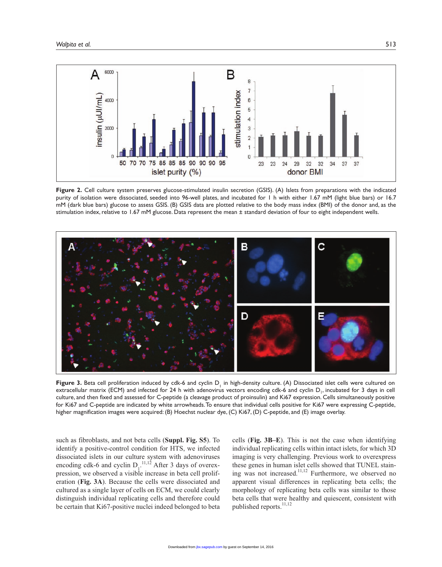

**Figure 2.** Cell culture system preserves glucose-stimulated insulin secretion (GSIS). (A) Islets from preparations with the indicated purity of isolation were dissociated, seeded into 96-well plates, and incubated for 1 h with either 1.67 mM (light blue bars) or 16.7 mM (dark blue bars) glucose to assess GSIS. (B) GSIS data are plotted relative to the body mass index (BMI) of the donor and, as the stimulation index, relative to 1.67 mM glucose. Data represent the mean ± standard deviation of four to eight independent wells.



**Figure 3.** Beta cell proliferation induced by cdk-6 and cyclin  $D_1$  in high-density culture. (A) Dissociated islet cells were cultured on extracellular matrix (ECM) and infected for 24 h with adenovirus vectors encoding cdk-6 and cyclin  $D_1$ , incubated for 3 days in cell culture, and then fixed and assessed for C-peptide (a cleavage product of proinsulin) and Ki67 expression. Cells simultaneously positive for Ki67 and C-peptide are indicated by white arrowheads. To ensure that individual cells positive for Ki67 were expressing C-peptide, higher magnification images were acquired: (B) Hoechst nuclear dye, (C) Ki67, (D) C-peptide, and (E) image overlay.

such as fibroblasts, and not beta cells (**Suppl. Fig. S5**). To identify a positive-control condition for HTS, we infected dissociated islets in our culture system with adenoviruses encoding cdk-6 and cyclin  $D_1$ <sup>11,12</sup> After 3 days of overexpression, we observed a visible increase in beta cell proliferation (**Fig. 3A**). Because the cells were dissociated and cultured as a single layer of cells on ECM, we could clearly distinguish individual replicating cells and therefore could be certain that Ki67-positive nuclei indeed belonged to beta

cells (**Fig. 3B–E**). This is not the case when identifying individual replicating cells within intact islets, for which 3D imaging is very challenging. Previous work to overexpress these genes in human islet cells showed that TUNEL staining was not increased.<sup>11,12</sup> Furthermore, we observed no apparent visual differences in replicating beta cells; the morphology of replicating beta cells was similar to those beta cells that were healthy and quiescent, consistent with published reports.<sup>11,12</sup>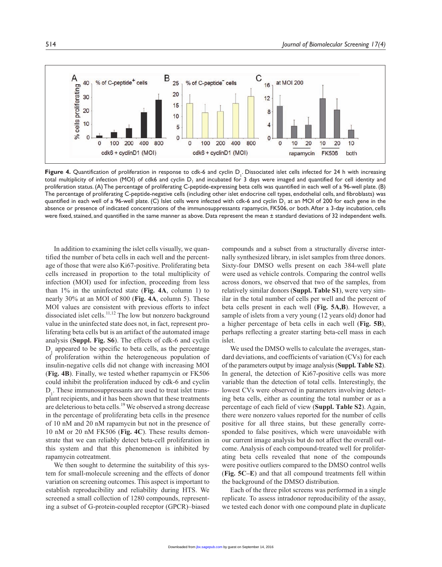

**Figure 4.** Quantification of proliferation in response to cdk-6 and cyclin  $D_i$ . Dissociated islet cells infected for 24 h with increasing total multiplicity of infection (MOI) of cdk6 and cyclin  $D_1$  and incubated for 3 days were imaged and quantified for cell identity and proliferation status. (A) The percentage of proliferating C-peptide-expressing beta cells was quantified in each well of a 96-well plate. (B) The percentage of proliferating C-peptide-negative cells (including other islet endocrine cell types, endothelial cells, and fibroblasts) was quantified in each well of a 96-well plate. (C) Islet cells were infected with cdk-6 and cyclin  $D_1$  at an MOI of 200 for each gene in the absence or presence of indicated concentrations of the immunosuppressants rapamycin, FK506, or both. After a 3-day incubation, cells were fixed, stained, and quantified in the same manner as above. Data represent the mean ± standard deviations of 32 independent wells.

In addition to examining the islet cells visually, we quantified the number of beta cells in each well and the percentage of those that were also Ki67-positive. Proliferating beta cells increased in proportion to the total multiplicity of infection (MOI) used for infection, proceeding from less than 1% in the uninfected state (**Fig. 4A**, column 1) to nearly 30% at an MOI of 800 (**Fig. 4A**, column 5). These MOI values are consistent with previous efforts to infect dissociated islet cells.<sup>11,12</sup> The low but nonzero background value in the uninfected state does not, in fact, represent proliferating beta cells but is an artifact of the automated image analysis (**Suppl. Fig. S6**). The effects of cdk-6 and cyclin  $D_1$  appeared to be specific to beta cells, as the percentage of proliferation within the heterogeneous population of insulin-negative cells did not change with increasing MOI (**Fig. 4B**). Finally, we tested whether rapamycin or FK506 could inhibit the proliferation induced by cdk-6 and cyclin  $D_1$ . These immunosuppressants are used to treat islet transplant recipients, and it has been shown that these treatments are deleterious to beta cells.<sup>19</sup> We observed a strong decrease in the percentage of proliferating beta cells in the presence of 10 nM and 20 nM rapamycin but not in the presence of 10 nM or 20 nM FK506 (**Fig. 4C**). These results demonstrate that we can reliably detect beta-cell proliferation in this system and that this phenomenon is inhibited by rapamycin cotreatment.

We then sought to determine the suitability of this system for small-molecule screening and the effects of donor variation on screening outcomes. This aspect is important to establish reproducibility and reliability during HTS. We screened a small collection of 1280 compounds, representing a subset of G-protein-coupled receptor (GPCR)–biased

compounds and a subset from a structurally diverse internally synthesized library, in islet samples from three donors. Sixty-four DMSO wells present on each 384-well plate were used as vehicle controls. Comparing the control wells across donors, we observed that two of the samples, from relatively similar donors (**Suppl. Table S1**), were very similar in the total number of cells per well and the percent of beta cells present in each well (**Fig. 5A,B**). However, a sample of islets from a very young (12 years old) donor had a higher percentage of beta cells in each well (**Fig. 5B**), perhaps reflecting a greater starting beta-cell mass in each islet.

We used the DMSO wells to calculate the averages, standard deviations, and coefficients of variation (CVs) for each of the parameters output by image analysis (**Suppl. Table S2**). In general, the detection of Ki67-positive cells was more variable than the detection of total cells. Interestingly, the lowest CVs were observed in parameters involving detecting beta cells, either as counting the total number or as a percentage of each field of view (**Suppl. Table S2**). Again, there were nonzero values reported for the number of cells positive for all three stains, but these generally corresponded to false positives, which were unavoidable with our current image analysis but do not affect the overall outcome. Analysis of each compound-treated well for proliferating beta cells revealed that none of the compounds were positive outliers compared to the DMSO control wells (**Fig. 5C–E**) and that all compound treatments fell within the background of the DMSO distribution.

Each of the three pilot screens was performed in a single replicate. To assess intradonor reproducibility of the assay, we tested each donor with one compound plate in duplicate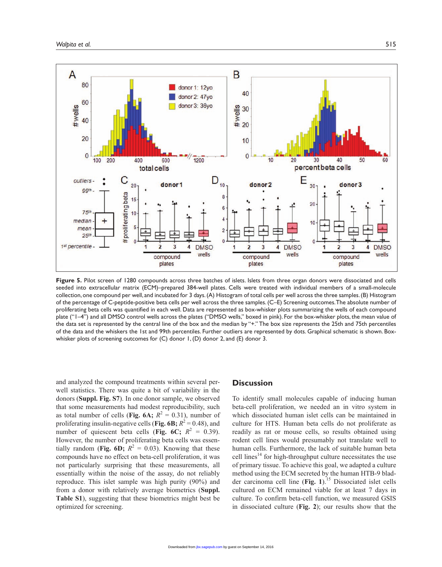

**Figure 5.** Pilot screen of 1280 compounds across three batches of islets. Islets from three organ donors were dissociated and cells seeded into extracellular matrix (ECM)–prepared 384-well plates. Cells were treated with individual members of a small-molecule collection, one compound per well, and incubated for 3 days. (A) Histogram of total cells per well across the three samples. (B) Histogram of the percentage of C-peptide-positive beta cells per well across the three samples. (C–E) Screening outcomes. The absolute number of proliferating beta cells was quantified in each well. Data are represented as box-whisker plots summarizing the wells of each compound plate ("1–4") and all DMSO control wells across the plates ("DMSO wells," boxed in pink). For the box-whisker plots, the mean value of the data set is represented by the central line of the box and the median by "+." The box size represents the 25th and 75th percentiles of the data and the whiskers the 1st and 99th percentiles. Further outliers are represented by dots. Graphical schematic is shown. Boxwhisker plots of screening outcomes for  $(C)$  donor 1,  $(D)$  donor 2, and  $(E)$  donor 3.

and analyzed the compound treatments within several perwell statistics. There was quite a bit of variability in the donors (**Suppl. Fig. S7**). In one donor sample, we observed that some measurements had modest reproducibility, such as total number of cells (**Fig. 6A**;  $R^2 = 0.31$ ), number of proliferating insulin-negative cells (Fig. 6B;  $R^2 = 0.48$ ), and number of quiescent beta cells (Fig. 6C;  $R^2 = 0.39$ ). However, the number of proliferating beta cells was essentially random (Fig. 6D;  $R^2 = 0.03$ ). Knowing that these compounds have no effect on beta-cell proliferation, it was not particularly surprising that these measurements, all essentially within the noise of the assay, do not reliably reproduce. This islet sample was high purity (90%) and from a donor with relatively average biometrics (**Suppl. Table S1**), suggesting that these biometrics might best be optimized for screening.

# **Discussion**

To identify small molecules capable of inducing human beta-cell proliferation, we needed an in vitro system in which dissociated human islet cells can be maintained in culture for HTS. Human beta cells do not proliferate as readily as rat or mouse cells, so results obtained using rodent cell lines would presumably not translate well to human cells. Furthermore, the lack of suitable human beta cell lines $14$  for high-throughput culture necessitates the use of primary tissue. To achieve this goal, we adapted a culture method using the ECM secreted by the human HTB-9 bladder carcinoma cell line (Fig. 1).<sup>15</sup> Dissociated islet cells cultured on ECM remained viable for at least 7 days in culture. To confirm beta-cell function, we measured GSIS in dissociated culture (**Fig. 2**); our results show that the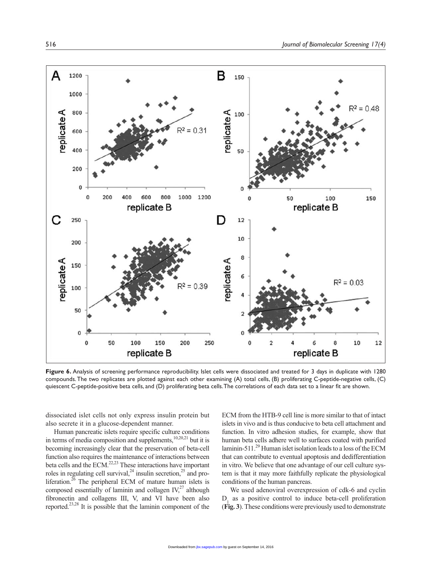

**Figure 6.** Analysis of screening performance reproducibility. Islet cells were dissociated and treated for 3 days in duplicate with 1280 compounds. The two replicates are plotted against each other examining (A) total cells, (B) proliferating C-peptide-negative cells, (C) quiescent C-peptide-positive beta cells, and (D) proliferating beta cells. The correlations of each data set to a linear fit are shown.

dissociated islet cells not only express insulin protein but also secrete it in a glucose-dependent manner.

Human pancreatic islets require specific culture conditions in terms of media composition and supplements,<sup>10,20,21</sup> but it is becoming increasingly clear that the preservation of beta-cell function also requires the maintenance of interactions between beta cells and the ECM.<sup>22,23</sup> These interactions have important roles in regulating cell survival,<sup>24</sup> insulin secretion,<sup>25</sup> and proliferation.<sup>26</sup> The peripheral ECM of mature human islets is composed essentially of laminin and collagen  $\mathrm{IV}^{27}$ , although fibronectin and collagens III, V, and VI have been also reported.23,28 It is possible that the laminin component of the

ECM from the HTB-9 cell line is more similar to that of intact islets in vivo and is thus conducive to beta cell attachment and function. In vitro adhesion studies, for example, show that human beta cells adhere well to surfaces coated with purified laminin-511.<sup>29</sup> Human islet isolation leads to a loss of the ECM that can contribute to eventual apoptosis and dedifferentiation in vitro. We believe that one advantage of our cell culture system is that it may more faithfully replicate the physiological conditions of the human pancreas.

We used adenoviral overexpression of cdk-6 and cyclin  $D_{1}$  as a positive control to induce beta-cell proliferation (**Fig. 3**). These conditions were previously used to demonstrate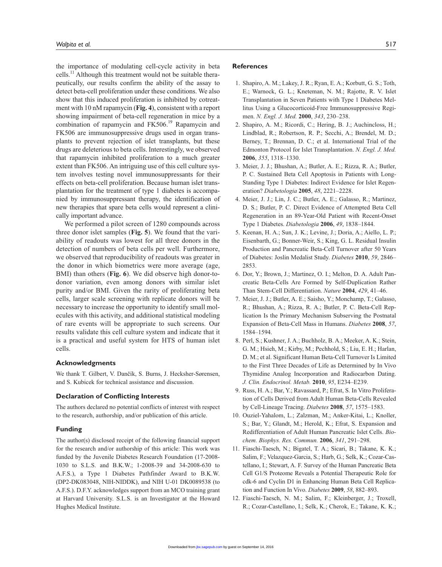the importance of modulating cell-cycle activity in beta cells.<sup>11</sup> Although this treatment would not be suitable therapeutically, our results confirm the ability of the assay to detect beta-cell proliferation under these conditions. We also show that this induced proliferation is inhibited by cotreatment with 10 nM rapamycin (**Fig. 4**), consistent with a report showing impairment of beta-cell regeneration in mice by a combination of rapamycin and FK506.<sup>19</sup> Rapamycin and FK506 are immunosuppressive drugs used in organ transplants to prevent rejection of islet transplants, but these drugs are deleterious to beta cells. Interestingly, we observed that rapamycin inhibited proliferation to a much greater extent than FK506. An intriguing use of this cell culture system involves testing novel immunosuppressants for their effects on beta-cell proliferation. Because human islet transplantation for the treatment of type 1 diabetes is accompanied by immunosuppressant therapy, the identification of new therapies that spare beta cells would represent a clinically important advance.

We performed a pilot screen of 1280 compounds across three donor islet samples (**Fig. 5**). We found that the variability of readouts was lowest for all three donors in the detection of numbers of beta cells per well. Furthermore, we observed that reproducibility of readouts was greater in the donor in which biometrics were more average (age, BMI) than others (**Fig. 6**). We did observe high donor-todonor variation, even among donors with similar islet purity and/or BMI. Given the rarity of proliferating beta cells, larger scale screening with replicate donors will be necessary to increase the opportunity to identify small molecules with this activity, and additional statistical modeling of rare events will be appropriate to such screens. Our results validate this cell culture system and indicate that it is a practical and useful system for HTS of human islet cells.

#### **Acknowledgments**

We thank T. Gilbert, V. Dančík, S. Burns, J. Hecksher-Sørensen, and S. Kubicek for technical assistance and discussion.

#### **Declaration of Conflicting Interests**

The authors declared no potential conflicts of interest with respect to the research, authorship, and/or publication of this article.

## **Funding**

The author(s) disclosed receipt of the following financial support for the research and/or authorship of this article: This work was funded by the Juvenile Diabetes Research Foundation (17-2008- 1030 to S.L.S. and B.K.W.; 1-2008-39 and 34-2008-630 to A.F.S.), a Type 1 Diabetes Pathfinder Award to B.K.W. (DP2-DK083048, NIH-NIDDK), and NIH U-01 DK0089538 (to A.F.S.). D.F.Y. acknowledges support from an MCO training grant at Harvard University. S.L.S. is an Investigator at the Howard Hughes Medical Institute.

#### **References**

- 1. Shapiro, A. M.; Lakey, J. R.; Ryan, E. A.; Korbutt, G. S.; Toth, E.; Warnock, G. L.; Kneteman, N. M.; Rajotte, R. V. Islet Transplantation in Seven Patients with Type 1 Diabetes Mellitus Using a Glucocorticoid-Free Immunosuppressive Regimen. *N. Engl. J. Med.* **2000**, *343*, 230–238.
- 2. Shapiro, A. M.; Ricordi, C.; Hering, B. J.; Auchincloss, H.; Lindblad, R.; Robertson, R. P.; Secchi, A.; Brendel, M. D.; Berney, T.; Brennan, D. C.; et al. International Trial of the Edmonton Protocol for Islet Transplantation. *N. Engl. J. Med.* **2006**, *355*, 1318–1330.
- 3. Meier, J. J.; Bhushan, A.; Butler, A. E.; Rizza, R. A.; Butler, P. C. Sustained Beta Cell Apoptosis in Patients with Long-Standing Type 1 Diabetes: Indirect Evidence for Islet Regeneration? *Diabetologia* **2005**, *48*, 2221–2228.
- 4. Meier, J. J.; Lin, J. C.; Butler, A. E.; Galasso, R.; Martinez, D. S.; Butler, P. C. Direct Evidence of Attempted Beta Cell Regeneration in an 89-Year-Old Patient with Recent-Onset Type 1 Diabetes. *Diabetologia* **2006**, *49*, 1838–1844.
- 5. Keenan, H. A.; Sun, J. K.; Levine, J.; Doria, A.; Aiello, L. P.; Eisenbarth, G.; Bonner-Weir, S.; King, G. L. Residual Insulin Production and Pancreatic Beta-Cell Turnover after 50 Years of Diabetes: Joslin Medalist Study. *Diabetes* **2010**, *59*, 2846– 2853.
- 6. Dor, Y.; Brown, J.; Martinez, O. I.; Melton, D. A. Adult Pancreatic Beta-Cells Are Formed by Self-Duplication Rather Than Stem-Cell Differentiation. *Nature* **2004**, *429*, 41–46.
- 7. Meier, J. J.; Butler, A. E.; Saisho, Y.; Monchamp, T.; Galasso, R.; Bhushan, A.; Rizza, R. A.; Butler, P. C. Beta-Cell Replication Is the Primary Mechanism Subserving the Postnatal Expansion of Beta-Cell Mass in Humans. *Diabetes* **2008**, *57*, 1584–1594.
- 8. Perl, S.; Kushner, J. A.; Buchholz, B. A.; Meeker, A. K.; Stein, G. M.; Hsieh, M.; Kirby, M.; Pechhold, S.; Liu, E. H.; Harlan, D. M.; et al. Significant Human Beta-Cell Turnover Is Limited to the First Three Decades of Life as Determined by In Vivo Thymidine Analog Incorporation and Radiocarbon Dating. *J. Clin. Endocrinol. Metab.* **2010**, *95*, E234–E239.
- 9. Russ, H. A.; Bar, Y.; Ravassard, P.; Efrat, S. In Vitro Proliferation of Cells Derived from Adult Human Beta-Cells Revealed by Cell-Lineage Tracing. *Diabetes* **2008**, *57*, 1575–1583.
- 10. Ouziel-Yahalom, L.; Zalzman, M.; Anker-Kitai, L.; Knoller, S.; Bar, Y.; Glandt, M.; Herold, K.; Efrat, S. Expansion and Redifferentiation of Adult Human Pancreatic Islet Cells. *Biochem. Biophys. Res. Commun.* **2006**, *341*, 291–298.
- 11. Fiaschi-Taesch, N.; Bigatel, T. A.; Sicari, B.; Takane, K. K.; Salim, F.; Velazquez-Garcia, S.; Harb, G.; Selk, K.; Cozar-Castellano, I.; Stewart, A. F. Survey of the Human Pancreatic Beta Cell G1/S Proteome Reveals a Potential Therapeutic Role for cdk-6 and Cyclin D1 in Enhancing Human Beta Cell Replication and Function In Vivo. *Diabetes* **2009**, *58*, 882–893.
- 12. Fiaschi-Taesch, N. M.; Salim, F.; Kleinberger, J.; Troxell, R.; Cozar-Castellano, I.; Selk, K.; Cherok, E.; Takane, K. K.;